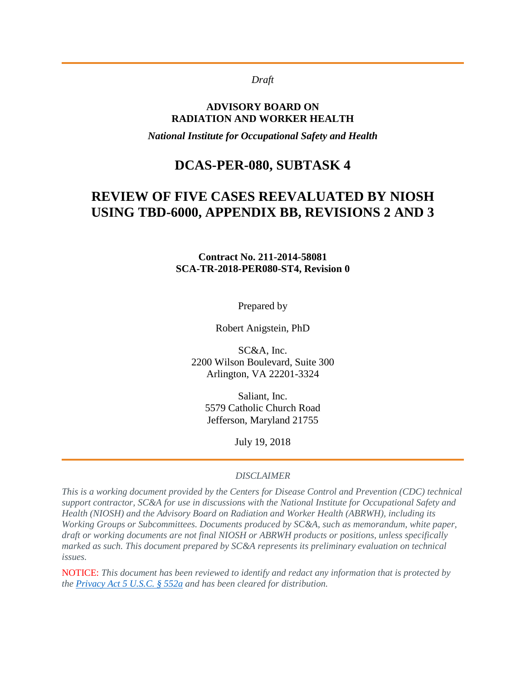#### *Draft*

#### **ADVISORY BOARD ON RADIATION AND WORKER HEALTH**

*National Institute for Occupational Safety and Health*

### **DCAS-PER-080, SUBTASK 4**

# **REVIEW OF FIVE CASES REEVALUATED BY NIOSH USING TBD-6000, APPENDIX BB, REVISIONS 2 AND 3**

#### **Contract No. 211-2014-58081 SCA-TR-2018-PER080-ST4, Revision 0**

Prepared by

Robert Anigstein, PhD

SC&A, Inc. 2200 Wilson Boulevard, Suite 300 Arlington, VA 22201-3324

Saliant, Inc. 5579 Catholic Church Road Jefferson, Maryland 21755

July 19, 2018

#### *DISCLAIMER*

*This is a working document provided by the Centers for Disease Control and Prevention (CDC) technical support contractor, SC&A for use in discussions with the National Institute for Occupational Safety and Health (NIOSH) and the Advisory Board on Radiation and Worker Health (ABRWH), including its Working Groups or Subcommittees. Documents produced by SC&A, such as memorandum, white paper, draft or working documents are not final NIOSH or ABRWH products or positions, unless specifically marked as such. This document prepared by SC&A represents its preliminary evaluation on technical issues.*

NOTICE: *This document has been reviewed to identify and redact any information that is protected by the [Privacy Act 5 U.S.C. § 552a](http://www.justice.gov/opcl/privacy-act-1974) and has been cleared for distribution.*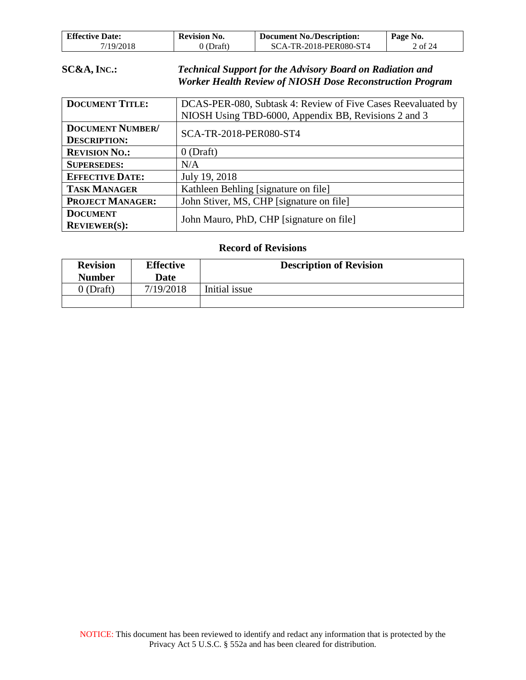| <b>Effective Date:</b> | <b>Revision No.</b> | <b>Document No./Description:</b> | Page No. |
|------------------------|---------------------|----------------------------------|----------|
| /19/2018               | $J$ (Draft)         | <b>SCA-TR-2018-PER080-ST4</b>    | . of 24  |

#### **SC&A, INC.:** *Technical Support for the Advisory Board on Radiation and Worker Health Review of NIOSH Dose Reconstruction Program*

| <b>DOCUMENT TITLE:</b>  | DCAS-PER-080, Subtask 4: Review of Five Cases Reevaluated by |  |
|-------------------------|--------------------------------------------------------------|--|
|                         | NIOSH Using TBD-6000, Appendix BB, Revisions 2 and 3         |  |
| <b>DOCUMENT NUMBER/</b> | SCA-TR-2018-PER080-ST4                                       |  |
| <b>DESCRIPTION:</b>     |                                                              |  |
| <b>REVISION NO.:</b>    | $0$ (Draft)                                                  |  |
| <b>SUPERSEDES:</b>      | N/A                                                          |  |
| <b>EFFECTIVE DATE:</b>  | July 19, 2018                                                |  |
| <b>TASK MANAGER</b>     | Kathleen Behling [signature on file]                         |  |
| <b>PROJECT MANAGER:</b> | John Stiver, MS, CHP [signature on file]                     |  |
| <b>DOCUMENT</b>         | John Mauro, PhD, CHP [signature on file]                     |  |
| <b>REVIEWER(S):</b>     |                                                              |  |

#### **Record of Revisions**

| <b>Revision</b><br><b>Number</b> | <b>Effective</b><br>Date | <b>Description of Revision</b> |
|----------------------------------|--------------------------|--------------------------------|
| $0$ (Draft)                      | 7/19/2018                | Initial issue                  |
|                                  |                          |                                |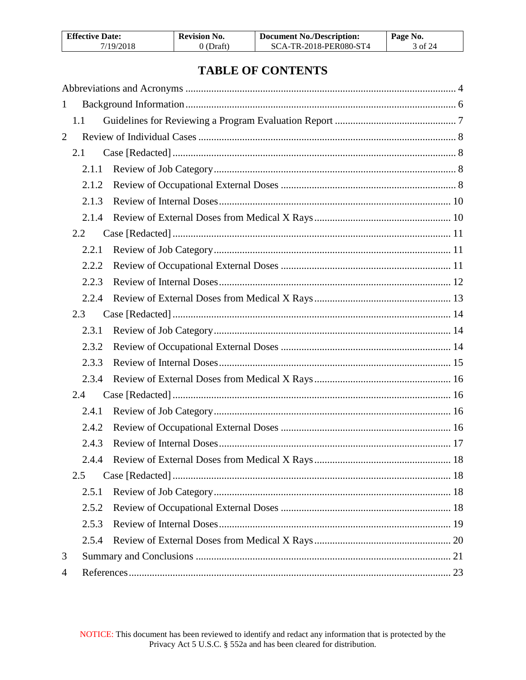| <b>Effective Date:</b> | <b>Revision No.</b> | <b>Document No./Description:</b> | Page No. |
|------------------------|---------------------|----------------------------------|----------|
| 7/19/2018              | $0$ (Draft)         | SCA-TR-2018-PER080-ST4           | 3 of 24  |

# **TABLE OF CONTENTS**

| 1              |       |  |
|----------------|-------|--|
|                | 1.1   |  |
| $\overline{2}$ |       |  |
|                | 2.1   |  |
|                | 2.1.1 |  |
|                | 2.1.2 |  |
|                | 2.1.3 |  |
|                | 2.1.4 |  |
|                | 2.2   |  |
|                | 2.2.1 |  |
|                | 2.2.2 |  |
|                | 2.2.3 |  |
|                | 2.2.4 |  |
|                | 2.3   |  |
|                | 2.3.1 |  |
|                | 2.3.2 |  |
|                | 2.3.3 |  |
|                | 2.3.4 |  |
|                | 2.4   |  |
|                | 2.4.1 |  |
|                | 2.4.2 |  |
|                | 2.4.3 |  |
|                | 2.4.4 |  |
|                | 2.5   |  |
|                | 2.5.1 |  |
|                | 2.5.2 |  |
|                | 2.5.3 |  |
|                | 2.5.4 |  |
| 3              |       |  |
| 4              |       |  |
|                |       |  |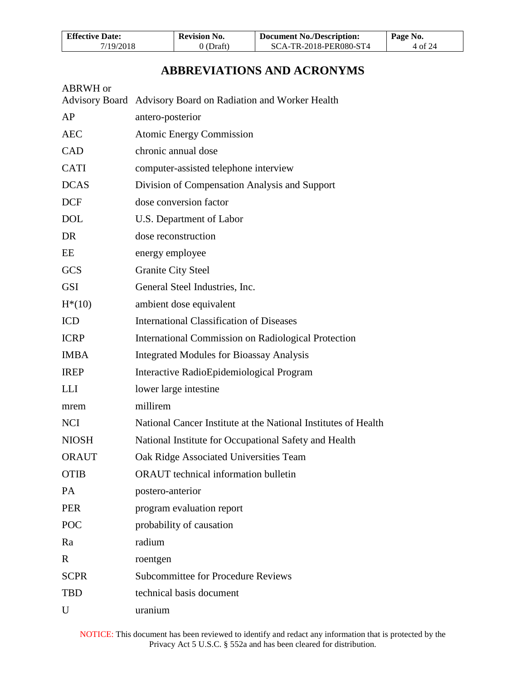| <b>Effective Date:</b> | <b>Revision No.</b> | <b>Document No./Description:</b> | Page No. |
|------------------------|---------------------|----------------------------------|----------|
| 7/19/2018              | $0$ (Draft)         | SCA-TR-2018-PER080-ST4           | 4 of 24  |

# **ABBREVIATIONS AND ACRONYMS**

<span id="page-3-0"></span>

| ABRWH or     |                                                                |
|--------------|----------------------------------------------------------------|
|              | Advisory Board Advisory Board on Radiation and Worker Health   |
| AP           | antero-posterior                                               |
| <b>AEC</b>   | <b>Atomic Energy Commission</b>                                |
| <b>CAD</b>   | chronic annual dose                                            |
| <b>CATI</b>  | computer-assisted telephone interview                          |
| <b>DCAS</b>  | Division of Compensation Analysis and Support                  |
| <b>DCF</b>   | dose conversion factor                                         |
| <b>DOL</b>   | U.S. Department of Labor                                       |
| DR           | dose reconstruction                                            |
| EE           | energy employee                                                |
| <b>GCS</b>   | <b>Granite City Steel</b>                                      |
| <b>GSI</b>   | General Steel Industries, Inc.                                 |
| $H^*(10)$    | ambient dose equivalent                                        |
| <b>ICD</b>   | <b>International Classification of Diseases</b>                |
| <b>ICRP</b>  | <b>International Commission on Radiological Protection</b>     |
| <b>IMBA</b>  | <b>Integrated Modules for Bioassay Analysis</b>                |
| <b>IREP</b>  | Interactive RadioEpidemiological Program                       |
| <b>LLI</b>   | lower large intestine                                          |
| mrem         | millirem                                                       |
| <b>NCI</b>   | National Cancer Institute at the National Institutes of Health |
| <b>NIOSH</b> | National Institute for Occupational Safety and Health          |
| <b>ORAUT</b> | Oak Ridge Associated Universities Team                         |
| <b>OTIB</b>  | ORAUT technical information bulletin                           |
| PA           | postero-anterior                                               |
| <b>PER</b>   | program evaluation report                                      |
| POC          | probability of causation                                       |
| Ra           | radium                                                         |
| $\mathbf R$  | roentgen                                                       |
| <b>SCPR</b>  | <b>Subcommittee for Procedure Reviews</b>                      |
| <b>TBD</b>   | technical basis document                                       |
| U            | uranium                                                        |
|              |                                                                |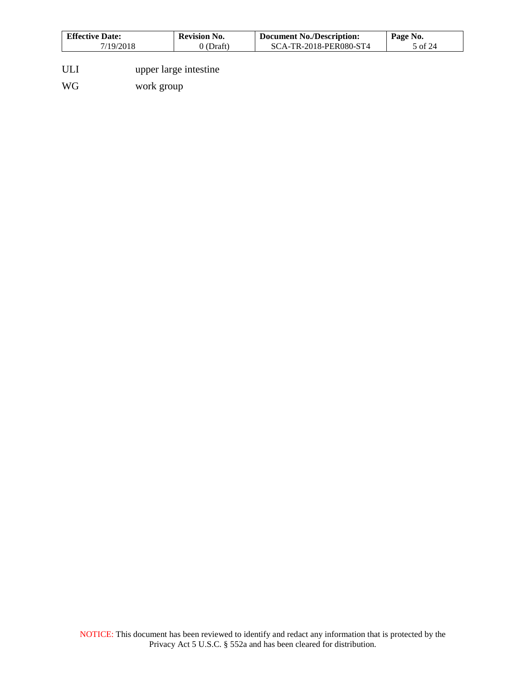| <b>Effective Date:</b> | Revision No. | <b>Document No./Description:</b> | Page No. |
|------------------------|--------------|----------------------------------|----------|
| /19/2018               | Draft        | SCA-TR-2018-PER080-ST4           | of $24$  |

- ULI upper large intestine
- WG work group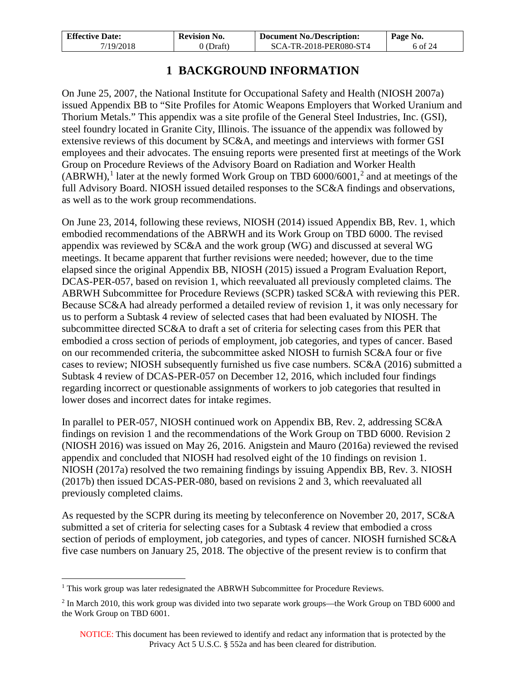| <b>Effective Date:</b> | Revision No. | <b>Document No./Description:</b> | Page No. |
|------------------------|--------------|----------------------------------|----------|
| 7/19/2018              | 0 (Draft)    | SCA-TR-2018-PER080-ST4           | 6 of 24  |

# **1 BACKGROUND INFORMATION**

<span id="page-5-0"></span>On June 25, 2007, the National Institute for Occupational Safety and Health (NIOSH 2007a) issued Appendix BB to "Site Profiles for Atomic Weapons Employers that Worked Uranium and Thorium Metals." This appendix was a site profile of the General Steel Industries, Inc. (GSI), steel foundry located in Granite City, Illinois. The issuance of the appendix was followed by extensive reviews of this document by SC&A, and meetings and interviews with former GSI employees and their advocates. The ensuing reports were presented first at meetings of the Work Group on Procedure Reviews of the Advisory Board on Radiation and Worker Health  $(ABRWH)$ ,<sup>[1](#page-5-1)</sup> later at the newly formed Work Group on TBD 6000/6001,<sup>[2](#page-5-2)</sup> and at meetings of the full Advisory Board. NIOSH issued detailed responses to the SC&A findings and observations, as well as to the work group recommendations.

On June 23, 2014, following these reviews, NIOSH (2014) issued Appendix BB, Rev. 1, which embodied recommendations of the ABRWH and its Work Group on TBD 6000. The revised appendix was reviewed by SC&A and the work group (WG) and discussed at several WG meetings. It became apparent that further revisions were needed; however, due to the time elapsed since the original Appendix BB, NIOSH (2015) issued a Program Evaluation Report, DCAS-PER-057, based on revision 1, which reevaluated all previously completed claims. The ABRWH Subcommittee for Procedure Reviews (SCPR) tasked SC&A with reviewing this PER. Because SC&A had already performed a detailed review of revision 1, it was only necessary for us to perform a Subtask 4 review of selected cases that had been evaluated by NIOSH. The subcommittee directed SC&A to draft a set of criteria for selecting cases from this PER that embodied a cross section of periods of employment, job categories, and types of cancer. Based on our recommended criteria, the subcommittee asked NIOSH to furnish SC&A four or five cases to review; NIOSH subsequently furnished us five case numbers. SC&A (2016) submitted a Subtask 4 review of DCAS-PER-057 on December 12, 2016, which included four findings regarding incorrect or questionable assignments of workers to job categories that resulted in lower doses and incorrect dates for intake regimes.

In parallel to PER-057, NIOSH continued work on Appendix BB, Rev. 2, addressing SC&A findings on revision 1 and the recommendations of the Work Group on TBD 6000. Revision 2 (NIOSH 2016) was issued on May 26, 2016. Anigstein and Mauro (2016a) reviewed the revised appendix and concluded that NIOSH had resolved eight of the 10 findings on revision 1. NIOSH (2017a) resolved the two remaining findings by issuing Appendix BB, Rev. 3. NIOSH (2017b) then issued DCAS-PER-080, based on revisions 2 and 3, which reevaluated all previously completed claims.

As requested by the SCPR during its meeting by teleconference on November 20, 2017, SC&A submitted a set of criteria for selecting cases for a Subtask 4 review that embodied a cross section of periods of employment, job categories, and types of cancer. NIOSH furnished SC&A five case numbers on January 25, 2018. The objective of the present review is to confirm that

<span id="page-5-1"></span><sup>&</sup>lt;sup>1</sup> This work group was later redesignated the ABRWH Subcommittee for Procedure Reviews.  $\overline{a}$ 

<span id="page-5-2"></span><sup>2</sup> In March 2010, this work group was divided into two separate work groups—the Work Group on TBD 6000 and the Work Group on TBD 6001.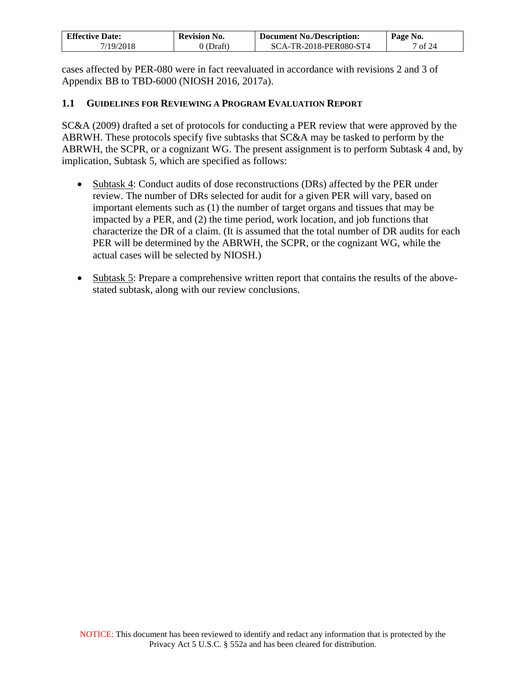| <b>Effective Date:</b> | <b>Revision No.</b> | <b>Document No./Description:</b> | Page No. |
|------------------------|---------------------|----------------------------------|----------|
| 7/19/2018              | 0 (Draft)           | SCA-TR-2018-PER080-ST4           | 1 of 24  |

cases affected by PER-080 were in fact reevaluated in accordance with revisions 2 and 3 of Appendix BB to TBD-6000 (NIOSH 2016, 2017a).

#### <span id="page-6-0"></span>**1.1 GUIDELINES FOR REVIEWING A PROGRAM EVALUATION REPORT**

SC&A (2009) drafted a set of protocols for conducting a PER review that were approved by the ABRWH. These protocols specify five subtasks that SC&A may be tasked to perform by the ABRWH, the SCPR, or a cognizant WG. The present assignment is to perform Subtask 4 and, by implication, Subtask 5, which are specified as follows:

- Subtask 4: Conduct audits of dose reconstructions (DRs) affected by the PER under review. The number of DRs selected for audit for a given PER will vary, based on important elements such as (1) the number of target organs and tissues that may be impacted by a PER, and (2) the time period, work location, and job functions that characterize the DR of a claim. (It is assumed that the total number of DR audits for each PER will be determined by the ABRWH, the SCPR, or the cognizant WG, while the actual cases will be selected by NIOSH.)
- Subtask 5: Prepare a comprehensive written report that contains the results of the abovestated subtask, along with our review conclusions.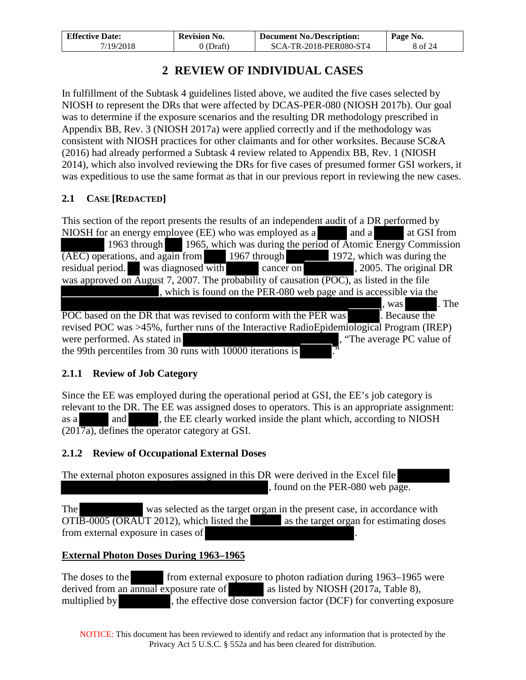| <b>Effective Date:</b> | <b>Revision No.</b> | <b>Document No./Description:</b> | Page No. |
|------------------------|---------------------|----------------------------------|----------|
| 7/19/2018              | 0 (Draft)           | SCA-TR-2018-PER080-ST4           | 8 of 24  |

# **2 REVIEW OF INDIVIDUAL CASES**

<span id="page-7-0"></span>In fulfillment of the Subtask 4 guidelines listed above, we audited the five cases selected by NIOSH to represent the DRs that were affected by DCAS-PER-080 (NIOSH 2017b). Our goal was to determine if the exposure scenarios and the resulting DR methodology prescribed in Appendix BB, Rev. 3 (NIOSH 2017a) were applied correctly and if the methodology was consistent with NIOSH practices for other claimants and for other worksites. Because SC&A (2016) had already performed a Subtask 4 review related to Appendix BB, Rev. 1 (NIOSH 2014), which also involved reviewing the DRs for five cases of presumed former GSI workers, it was expeditious to use the same format as that in our previous report in reviewing the new cases.

# <span id="page-7-1"></span>**2.1 CASE [REDACTED]**

This section of the report presents the results of an independent audit of a DR performed by NIOSH for an energy employee (EE) who was employed as a and a a a at GSI from 1963 through 1965, which was during the period of Atomic Energy Commission (AEC) operations, and again from 1967 through 1972, which was during the residual period. was diagnosed with cancer on , 2005. The original DR was approved on August 7, 2007. The probability of causation (POC), as listed in the file , which is found on the PER-080 web page and is accessible via the was . The POC based on the DR that was revised to conform with the PER was . Because the revised POC was >45%, further runs of the Interactive RadioEpidemiological Program (IREP) were performed. As stated in  $\ddot{\text{ }}$ , "The average PC value of the 99th percentiles from 30 runs with  $10000$  iterations is

# <span id="page-7-2"></span>**2.1.1 Review of Job Category**

Since the EE was employed during the operational period at GSI, the EE's job category is relevant to the DR. The EE was assigned doses to operators. This is an appropriate assignment: as a and and , the EE clearly worked inside the plant which, according to NIOSH (2017a), defines the operator category at GSI.

# <span id="page-7-3"></span>**2.1.2 Review of Occupational External Doses**

The external photon exposures assigned in this DR were derived in the Excel file , found on the PER-080 web page.

The was selected as the target organ in the present case, in accordance with  $\overline{OTIB-0005}$  (ORAUT 2012), which listed the as the target organ for estimating doses from external exposure in cases of .

# **External Photon Doses During 1963–1965**

The doses to the from external exposure to photon radiation during 1963–1965 were derived from an annual exposure rate of as listed by NIOSH (2017a, Table 8), multiplied by , the effective dose conversion factor (DCF) for converting exposure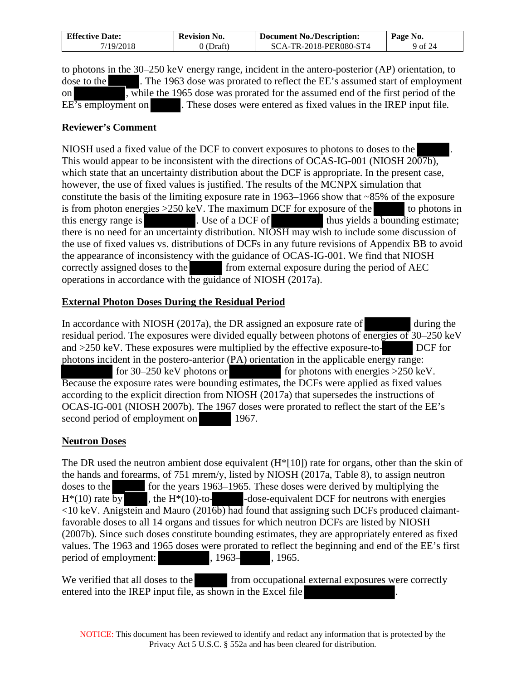| <b>Effective Date:</b> | <b>Revision No.</b> | <b>Document No./Description:</b> | Page No. |
|------------------------|---------------------|----------------------------------|----------|
| 7/19/2018              | (Draft)             | SCA-TR-2018-PER080-ST4           | 9 of 24  |

to photons in the 30–250 keV energy range, incident in the antero-posterior (AP) orientation, to dose to the . The 1963 dose was prorated to reflect the EE's assumed start of employment on , while the 1965 dose was prorated for the assumed end of the first period of the EE's employment on . These doses were entered as fixed values in the IREP input file*.*

#### **Reviewer's Comment**

NIOSH used a fixed value of the DCF to convert exposures to photons to doses to the . This would appear to be inconsistent with the directions of OCAS-IG-001 (NIOSH 2007b), which state that an uncertainty distribution about the DCF is appropriate. In the present case, however, the use of fixed values is justified. The results of the MCNPX simulation that constitute the basis of the limiting exposure rate in 1963–1966 show that ~85% of the exposure is from photon energies  $>250$  keV. The maximum DCF for exposure of the to photons in this energy range is . Use of a DCF of thus yields  $\overline{a}$  bounding estimate; there is no need for an uncertainty distribution. NIOSH may wish to include some discussion of the use of fixed values vs. distributions of DCFs in any future revisions of Appendix BB to avoid the appearance of inconsistency with the guidance of OCAS-IG-001. We find that NIOSH correctly assigned doses to the from external exposure during the period of AEC operations in accordance with the guidance of NIOSH (2017a).

### **External Photon Doses During the Residual Period**

In accordance with NIOSH (2017a), the DR assigned an exposure rate of during the residual period. The exposures were divided equally between photons of energies of 30–250 keV and >250 keV. These exposures were multiplied by the effective exposure-to- DCF for photons incident in the postero-anterior (PA) orientation in the applicable energy range: for 30–250 keV photons or for photons with energies >250 keV. Because the exposure rates were bounding estimates, the DCFs were applied as fixed values according to the explicit direction from NIOSH (2017a) that supersedes the instructions of OCAS-IG-001 (NIOSH 2007b). The 1967 doses were prorated to reflect the start of the EE's second period of employment on 1967.

#### **Neutron Doses**

The DR used the neutron ambient dose equivalent (H\*[10]) rate for organs, other than the skin of the hands and forearms, of 751 mrem/y, listed by NIOSH (2017a, Table 8), to assign neutron doses to the for the years 1963–1965. These doses were derived by multiplying the  $H^*(10)$  rate by , the  $H^*(10)$ -to-<br>dose-equivalent DCF for neutrons with energies  $\langle 10 \text{ keV} \rangle$ . Anigstein and Mauro (2016b) had found that assigning such DCFs produced claimantfavorable doses to all 14 organs and tissues for which neutron DCFs are listed by NIOSH (2007b). Since such doses constitute bounding estimates, they are appropriately entered as fixed values. The 1963 and 1965 doses were prorated to reflect the beginning and end of the EE's first period of employment:  $\qquad \qquad$ , 1963–, 1965.

We verified that all doses to the from occupational external exposures were correctly entered into the IREP input file, as shown in the Excel file *.*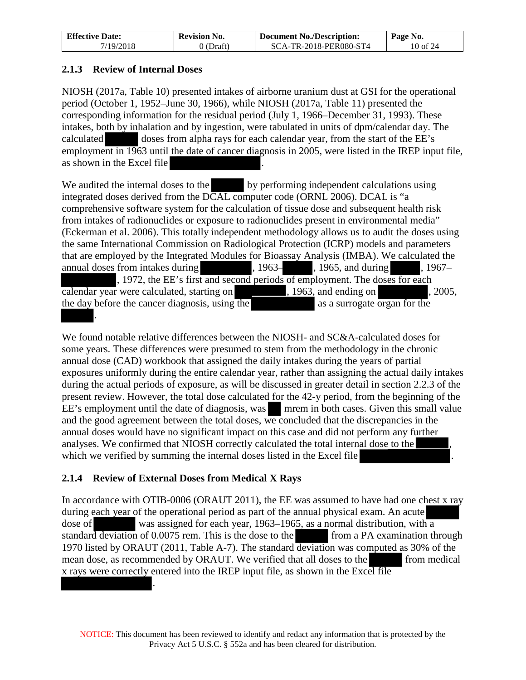| <b>Effective Date:</b> | <b>Revision No.</b> | <b>Document No./Description:</b> | Page No. |
|------------------------|---------------------|----------------------------------|----------|
| 7/19/2018              | 0 (Draft)           | SCA-TR-2018-PER080-ST4           | 10 of 24 |

### <span id="page-9-0"></span>**2.1.3 Review of Internal Doses**

NIOSH (2017a, Table 10) presented intakes of airborne uranium dust at GSI for the operational period (October 1, 1952–June 30, 1966), while NIOSH (2017a, Table 11) presented the corresponding information for the residual period (July 1, 1966–December 31, 1993). These intakes, both by inhalation and by ingestion, were tabulated in units of dpm/calendar day. The calculated doses from alpha rays for each calendar year, from the start of the EE's employment in 1963 until the date of cancer diagnosis in 2005, were listed in the IREP input file, as shown in the Excel file

We audited the internal doses to the by performing independent calculations using integrated doses derived from the DCAL computer code (ORNL 2006). DCAL is "a comprehensive software system for the calculation of tissue dose and subsequent health risk from intakes of radionuclides or exposure to radionuclides present in environmental media" (Eckerman et al. 2006). This totally independent methodology allows us to audit the doses using the same International Commission on Radiological Protection (ICRP) models and parameters that are employed by the Integrated Modules for Bioassay Analysis (IMBA). We calculated the annual doses from intakes during , 1963–, 1965, and during , 1967– , 1972, the EE's first and second periods of employment. The doses for each calendar year were calculated, starting on , 1963, and ending on , 2005, the day before the cancer diagnosis, using the as a surrogate organ for the .

We found notable relative differences between the NIOSH- and SC&A-calculated doses for some years. These differences were presumed to stem from the methodology in the chronic annual dose (CAD) workbook that assigned the daily intakes during the years of partial exposures uniformly during the entire calendar year, rather than assigning the actual daily intakes during the actual periods of exposure, as will be discussed in greater detail in section [2.2.3](#page-11-0) of the present review. However, the total dose calculated for the 42-y period, from the beginning of the EE's employment until the date of diagnosis, was mrem in both cases. Given this small value and the good agreement between the total doses, we concluded that the discrepancies in the annual doses would have no significant impact on this case and did not perform any further analyses. We confirmed that NIOSH correctly calculated the total internal dose to the , which we verified by summing the internal doses listed in the Excel file

# <span id="page-9-1"></span>**2.1.4 Review of External Doses from Medical X Rays**

.

In accordance with OTIB-0006 (ORAUT 2011), the EE was assumed to have had one chest x ray during each year of the operational period as part of the annual physical exam. An acute dose of was assigned for each year, 1963–1965, as a normal distribution, with a standard deviation of 0.0075 rem. This is the dose to the from a PA examination through 1970 listed by ORAUT (2011, Table A-7). The standard deviation was computed as 30% of the mean dose, as recommended by ORAUT. We verified that all doses to the from medical x rays were correctly entered into the IREP input file, as shown in the Excel file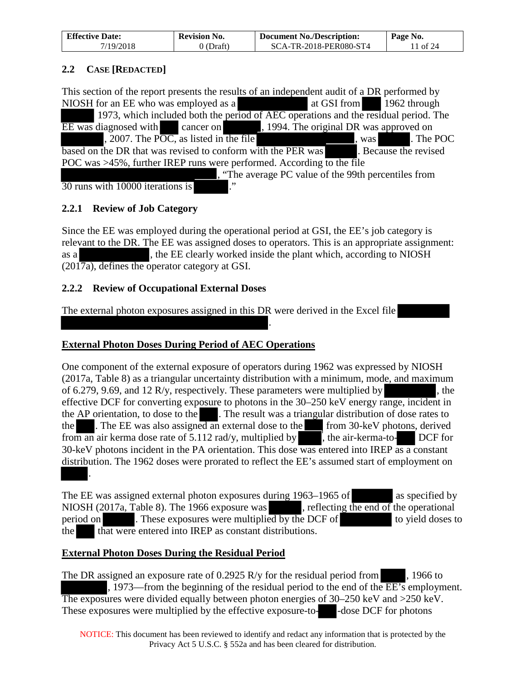| <b>Effective Date:</b> | <b>Revision No.</b> | <b>Document No./Description:</b> | Page No. |
|------------------------|---------------------|----------------------------------|----------|
| 7/19/2018              | 0 (Draft)           | SCA-TR-2018-PER080-ST4           | 11 of 24 |

### <span id="page-10-0"></span>**2.2 CASE [REDACTED]**

This section of the report presents the results of an independent audit of a DR performed by NIOSH for an EE who was employed as a b at GSI from 1962 through 1973, which included both the period of AEC operations and the residual period. The EE was diagnosed with cancer on , 1994. The original DR was approved on , 2007. The POC, as listed in the file  $\sim$ , was . The POC based on the DR that was revised to conform with the PER was . Because the revised POC was >45%, further IREP runs were performed. According to the file , "The average PC value of the 99th percentiles from  $\overline{30}$  runs with 10000 iterations is

### <span id="page-10-1"></span>**2.2.1 Review of Job Category**

Since the EE was employed during the operational period at GSI, the EE's job category is relevant to the DR. The EE was assigned doses to operators. This is an appropriate assignment: as a , the EE clearly worked inside the plant which, according to NIOSH (2017a), defines the operator category at GSI.

.

### <span id="page-10-2"></span>**2.2.2 Review of Occupational External Doses**

The external photon exposures assigned in this DR were derived in the Excel file

# **External Photon Doses During Period of AEC Operations**

One component of the external exposure of operators during 1962 was expressed by NIOSH (2017a, Table 8) as a triangular uncertainty distribution with a minimum, mode, and maximum of 6.279, 9.69, and 12 R/y, respectively. These parameters were multiplied by  $\blacksquare$ , the effective DCF for converting exposure to photons in the 30–250 keV energy range, incident in the AP orientation, to dose to the . The result was a triangular distribution of dose rates to the . The EE was also assigned an external dose to the from 30-keV photons, derived from an air kerma dose rate of  $5.112 \text{ rad/y}$ , multiplied by , the air-kerma-to- DCF for 30-keV photons incident in the PA orientation. This dose was entered into IREP as a constant distribution. The 1962 doses were prorated to reflect the EE's assumed start of employment on .

The EE was assigned external photon exposures during 1963–1965 of as specified by NIOSH (2017a, Table 8). The 1966 exposure was , reflecting the end of the operational period on . These exposures were multiplied by the DCF of to yield doses to the that were entered into IREP as constant distributions.

#### **External Photon Doses During the Residual Period**

The DR assigned an exposure rate of  $0.2925$  R/y for the residual period from  $\,$ , 1966 to , 1973—from the beginning of the residual period to the end of the  $\overline{EE}$ 's employment. The exposures were divided equally between photon energies of 30–250 keV and >250 keV. These exposures were multiplied by the effective exposure-to-<br>

NOTICE: This document has been reviewed to identify and redact any information that is protected by the Privacy Act 5 U.S.C. § 552a and has been cleared for distribution.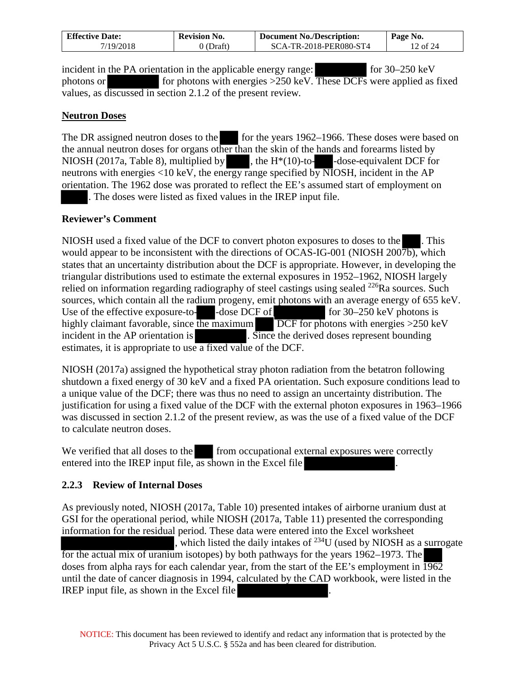| <b>Effective Date:</b> | <b>Revision No.</b> | <b>Document No./Description:</b> | Page No. |  |
|------------------------|---------------------|----------------------------------|----------|--|
| 7/19/2018              | 0 (Draft)           | SCA-TR-2018-PER080-ST4           | 12 of 24 |  |

incident in the PA orientation in the applicable energy range: for 30–250 keV photons or for photons with energies  $>250$  keV. These DCFs were applied as fixed values, as discussed in section [2.1.2](#page-7-3) of the present review*.*

#### **Neutron Doses**

The DR assigned neutron doses to the for the years 1962–1966. These doses were based on the annual neutron doses for organs other than the skin of the hands and forearms listed by NIOSH (2017a, Table 8), multiplied by  $\blacksquare$ , the H $*(10)$ -to- $\blacksquare$ -dose-equivalent DCF for neutrons with energies  $\langle 10 \text{ keV} \rangle$ , the energy range specified by NIOSH, incident in the AP orientation. The 1962 dose was prorated to reflect the EE's assumed start of employment on . The doses were listed as fixed values in the IREP input file.

#### **Reviewer's Comment**

NIOSH used a fixed value of the DCF to convert photon exposures to doses to the . This would appear to be inconsistent with the directions of OCAS-IG-001 (NIOSH 2007b), which states that an uncertainty distribution about the DCF is appropriate. However, in developing the triangular distributions used to estimate the external exposures in 1952–1962, NIOSH largely relied on information regarding radiography of steel castings using sealed <sup>226</sup>Ra sources. Such sources, which contain all the radium progeny, emit photons with an average energy of 655 keV. Use of the effective exposure-to-  $-dose$  DCF of for 30–250 keV photons is highly claimant favorable, since the maximum DCF for photons with energies >250 keV incident in the AP orientation is . Since the derived doses represent bounding estimates, it is appropriate to use a fixed value of the DCF.

NIOSH (2017a) assigned the hypothetical stray photon radiation from the betatron following shutdown a fixed energy of 30 keV and a fixed PA orientation. Such exposure conditions lead to a unique value of the DCF; there was thus no need to assign an uncertainty distribution. The justification for using a fixed value of the DCF with the external photon exposures in 1963–1966 was discussed in section [2.1.2](#page-7-3) of the present review, as was the use of a fixed value of the DCF to calculate neutron doses.

We verified that all doses to the from occupational external exposures were correctly entered into the IREP input file, as shown in the Excel file *.*

#### <span id="page-11-0"></span>**2.2.3 Review of Internal Doses**

As previously noted, NIOSH (2017a, Table 10) presented intakes of airborne uranium dust at GSI for the operational period, while NIOSH (2017a, Table 11) presented the corresponding information for the residual period. These data were entered into the Excel worksheet , which listed the daily intakes of  $^{234}$ U (used by NIOSH as a surrogate for the actual mix of uranium isotopes) by both pathways for the years 1962–1973. The doses from alpha rays for each calendar year, from the start of the EE's employment in  $\overline{1962}$ until the date of cancer diagnosis in 1994, calculated by the CAD workbook, were listed in the IREP input file, as shown in the Excel file *.*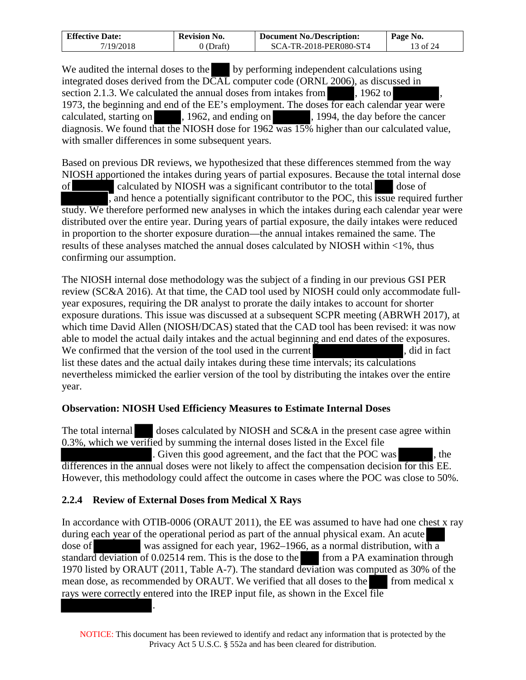| <b>Effective Date:</b> | <b>Revision No.</b> | <b>Document No./Description:</b> | Page No. |  |
|------------------------|---------------------|----------------------------------|----------|--|
| 7/19/2018              | 0 (Draft)           | SCA-TR-2018-PER080-ST4           | 13 of 24 |  |

We audited the internal doses to the by performing independent calculations using integrated doses derived from the  $\overline{DCAL}$  computer code (ORNL 2006), as discussed in section [2.1.3.](#page-9-0) We calculated the annual doses from intakes from , 1962 to 1973, the beginning and end of the EE's employment. The doses for each calendar year were calculated, starting on , 1962, and ending on , 1994, the day before the cancer diagnosis. We found that the NIOSH dose for 1962 was 15% higher than our calculated value, with smaller differences in some subsequent years.

Based on previous DR reviews, we hypothesized that these differences stemmed from the way NIOSH apportioned the intakes during years of partial exposures. Because the total internal dose of calculated by NIOSH was a significant contributor to the total dose of , and hence a potentially significant contributor to the POC, this issue required further study. We therefore performed new analyses in which the intakes during each calendar year were distributed over the entire year. During years of partial exposure, the daily intakes were reduced in proportion to the shorter exposure duration—the annual intakes remained the same. The results of these analyses matched the annual doses calculated by NIOSH within <1%, thus confirming our assumption.

The NIOSH internal dose methodology was the subject of a finding in our previous GSI PER review (SC&A 2016). At that time, the CAD tool used by NIOSH could only accommodate fullyear exposures, requiring the DR analyst to prorate the daily intakes to account for shorter exposure durations. This issue was discussed at a subsequent SCPR meeting (ABRWH 2017), at which time David Allen (NIOSH/DCAS) stated that the CAD tool has been revised: it was now able to model the actual daily intakes and the actual beginning and end dates of the exposures. We confirmed that the version of the tool used in the current , did in fact list these dates and the actual daily intakes during these time intervals; its calculations nevertheless mimicked the earlier version of the tool by distributing the intakes over the entire year.

#### **Observation: NIOSH Used Efficiency Measures to Estimate Internal Doses**

The total internal doses calculated by NIOSH and SC&A in the present case agree within 0.3%, which we verified by summing the internal doses listed in the Excel file . Given this good agreement, and the fact that the POC was , the differences in the annual doses were not likely to affect the compensation decision for this EE. However, this methodology could affect the outcome in cases where the POC was close to 50%.

# <span id="page-12-0"></span>**2.2.4 Review of External Doses from Medical X Rays**

In accordance with OTIB-0006 (ORAUT 2011), the EE was assumed to have had one chest x ray during each year of the operational period as part of the annual physical exam. An acute dose of was assigned for each year, 1962–1966, as a normal distribution, with a standard deviation of  $0.02514$  rem. This is the dose to the from a PA examination through 1970 listed by ORAUT (2011, Table A-7). The standard deviation was computed as 30% of the mean dose, as recommended by ORAUT. We verified that all doses to the from medical x rays were correctly entered into the IREP input file, as shown in the Excel file .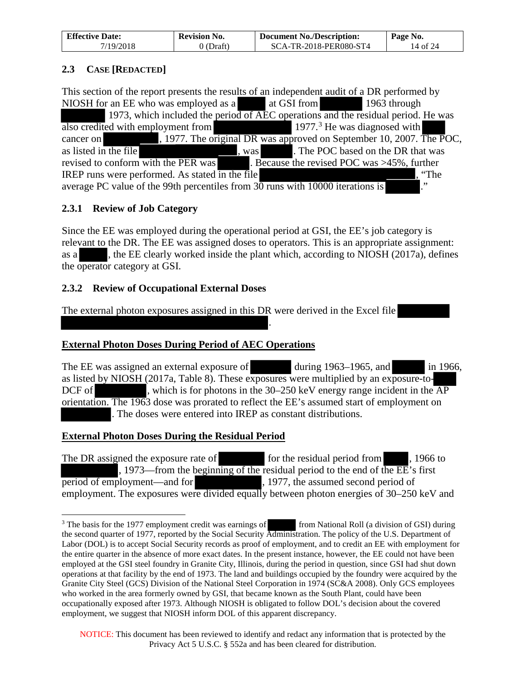| <b>Effective Date:</b> | <b>Revision No.</b> | <b>Document No./Description:</b> | Page No. |
|------------------------|---------------------|----------------------------------|----------|
| 7/19/2018              | 0 (Draft)           | SCA-TR-2018-PER080-ST4           | 14 of 24 |

### <span id="page-13-0"></span>**2.3 CASE [REDACTED]**

This section of the report presents the results of an independent audit of a DR performed by NIOSH for an EE who was employed as a a at GSI from 1963 through 1973, which included the period of AEC operations and the residual period. He was also credited with employment from 1977.<sup>3</sup> He was diagnosed with cancer on , 1977. The original DR was approved on September 10, 2007. The POC, as listed in the file  $\sim$ , was . The POC based on the DR that was revised to conform with the PER was  $\blacksquare$ . Because the revised POC was >45%, further IREP runs were performed. As stated in the file  $\blacksquare$ , "The average PC value of the 99th percentiles from  $30$  runs with 10000 iterations is ...

# <span id="page-13-1"></span>**2.3.1 Review of Job Category**

Since the EE was employed during the operational period at GSI, the EE's job category is relevant to the DR. The EE was assigned doses to operators. This is an appropriate assignment: as a , the EE clearly worked inside the plant which, according to NIOSH (2017a), defines the operator category at GSI.

### <span id="page-13-2"></span>**2.3.2 Review of Occupational External Doses**

The external photon exposures assigned in this DR were derived in the Excel file

### **External Photon Doses During Period of AEC Operations**

The EE was assigned an external exposure of during 1963–1965, and in 1966, as listed by NIOSH (2017a, Table 8). These exposures were multiplied by an exposure-to-DCF of , which is for photons in the  $30-250$  keV energy range incident in the  $\overline{AP}$ orientation. The 1963 dose was prorated to reflect the EE's assumed start of employment on . The doses were entered into IREP as constant distributions.

.

#### **External Photon Doses During the Residual Period**

 $\overline{a}$ 

The DR assigned the exposure rate of for the residual period from , 1966 to , 1973—from the beginning of the residual period to the end of the EE's first period of employment—and for , 1977, the assumed second period of employment. The exposures were divided equally between photon energies of 30–250 keV and

<span id="page-13-3"></span><sup>&</sup>lt;sup>3</sup> The basis for the 1977 employment credit was earnings of from National Roll (a division of GSI) during the second quarter of 1977, reported by the Social Security Administration. The policy of the U.S. Department of Labor (DOL) is to accept Social Security records as proof of employment, and to credit an EE with employment for the entire quarter in the absence of more exact dates. In the present instance, however, the EE could not have been employed at the GSI steel foundry in Granite City, Illinois, during the period in question, since GSI had shut down operations at that facility by the end of 1973. The land and buildings occupied by the foundry were acquired by the Granite City Steel (GCS) Division of the National Steel Corporation in 1974 (SC&A 2008). Only GCS employees who worked in the area formerly owned by GSI, that became known as the South Plant, could have been occupationally exposed after 1973. Although NIOSH is obligated to follow DOL's decision about the covered employment, we suggest that NIOSH inform DOL of this apparent discrepancy.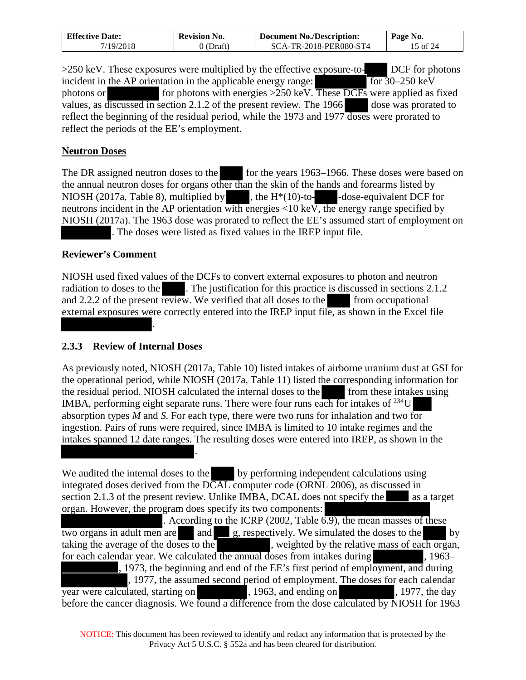| <b>Effective Date:</b> | Revision No. | <b>Document No./Description:</b> | Page No. |
|------------------------|--------------|----------------------------------|----------|
| 7/19/2018              | (Draft)      | SCA-TR-2018-PER080-ST4           | 5 of 24  |

>250 keV. These exposures were multiplied by the effective exposure-to- DCF for photons incident in the AP orientation in the applicable energy range:  $\sqrt{6r^2}$  for 30–250 keV photons or for photons with energies  $>250$  keV. These DCFs were applied as fixed values, as discussed in section [2.1.2](#page-7-3) of the present review. The 1966 dose was prorated to reflect the beginning of the residual period, while the 1973 and 1977 doses were prorated to reflect the periods of the EE's employment.

#### **Neutron Doses**

The DR assigned neutron doses to the for the years 1963–1966. These doses were based on the annual neutron doses for organs other than the skin of the hands and forearms listed by NIOSH (2017a, Table 8), multiplied by  $\blacksquare$ , the H<sup>\*</sup>(10)-to-<br>-dose-equivalent DCF for neutrons incident in the AP orientation with energies <10 keV, the energy range specified by NIOSH (2017a). The 1963 dose was prorated to reflect the EE's assumed start of employment on . The doses were listed as fixed values in the IREP input file.

### **Reviewer's Comment**

NIOSH used fixed values of the DCFs to convert external exposures to photon and neutron radiation to doses to the . The justification for this practice is discussed in sections [2.1.2](#page-7-3) and  $2.2.2$  of the present review. We verified that all doses to the from occupational external exposures were correctly entered into the IREP input file, as shown in the Excel file

#### <span id="page-14-0"></span>**2.3.3 Review of Internal Doses**

*.*

.

As previously noted, NIOSH (2017a, Table 10) listed intakes of airborne uranium dust at GSI for the operational period, while NIOSH (2017a, Table 11) listed the corresponding information for the residual period. NIOSH calculated the internal doses to the from these intakes using the residual period. NIOSH calculated the internal doses to the IMBA, performing eight separate runs. There were four runs each for intakes of 234U absorption types *M* and *S.* For each type, there were two runs for inhalation and two for ingestion. Pairs of runs were required, since IMBA is limited to 10 intake regimes and the intakes spanned 12 date ranges. The resulting doses were entered into IREP, as shown in the

We audited the internal doses to the by performing independent calculations using integrated doses derived from the  $\overline{DCAL}$  computer code (ORNL 2006), as discussed in section [2.1.3](#page-9-0) of the present review. Unlike IMBA, DCAL does not specify the as a target organ. However, the program does specify its two components: . According to the ICRP (2002, Table 6.9), the mean masses of these two organs in adult men are  $\Box$  and  $\Box$  g, respectively. We simulated the doses to the by taking the average of the doses to the state is weighted by the relative mass of each organ, for each calendar year. We calculated the annual doses from intakes during  $\overline{\phantom{a}}$ , 1963– , 1973, the beginning and end of the EE's first period of employment, and during , 1977, the assumed second period of employment. The doses for each calendar year were calculated, starting on , 1963, and ending on , 1977, the day before the cancer diagnosis. We found a difference from the dose calculated by NIOSH for 1963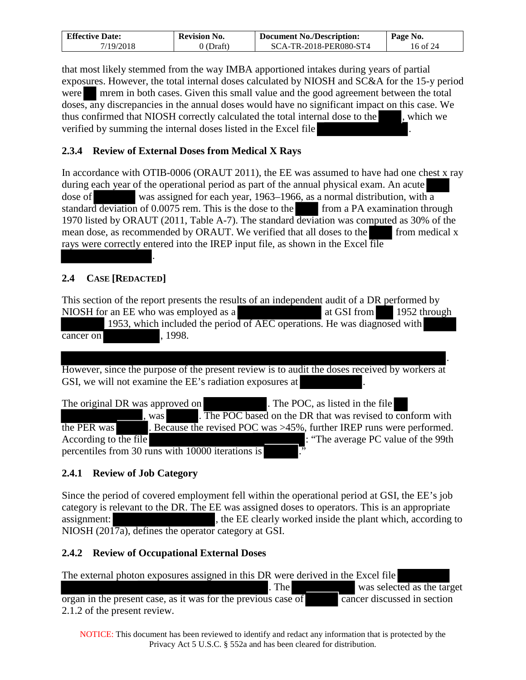| <b>Effective Date:</b> | <b>Revision No.</b> | <b>Document No./Description:</b> | Page No. |
|------------------------|---------------------|----------------------------------|----------|
| 7/19/2018              | $\cup$ (Draft)      | SCA-TR-2018-PER080-ST4           | 16 of 24 |

that most likely stemmed from the way IMBA apportioned intakes during years of partial exposures. However, the total internal doses calculated by NIOSH and SC&A for the 15-y period were mrem in both cases. Given this small value and the good agreement between the total doses, any discrepancies in the annual doses would have no significant impact on this case. We thus confirmed that NIOSH correctly calculated the total internal dose to the , which we verified by summing the internal doses listed in the Excel file .

# <span id="page-15-0"></span>**2.3.4 Review of External Doses from Medical X Rays**

In accordance with OTIB-0006 (ORAUT 2011), the EE was assumed to have had one chest x ray during each year of the operational period as part of the annual physical exam. An acute dose of was assigned for each year, 1963–1966, as a normal distribution, with a standard deviation of 0.0075 rem. This is the dose to the from a PA examination through 1970 listed by ORAUT (2011, Table A-7). The standard deviation was computed as 30% of the mean dose, as recommended by ORAUT. We verified that all doses to the from medical x rays were correctly entered into the IREP input file, as shown in the Excel file *.*

# <span id="page-15-1"></span>**2.4 CASE [REDACTED]**

This section of the report presents the results of an independent audit of a DR performed by NIOSH for an EE who was employed as a a set at GSI from 1952 through 1953, which included the period of AEC operations. He was diagnosed with cancer on , 1998.

. However, since the purpose of the present review is to audit the doses received by workers at GSI, we will not examine the EE's radiation exposures at

The original DR was approved on . The POC, as listed in the file , was . The POC based on the DR that was revised to conform with the PER was . Because the revised POC was >45%, further IREP runs were performed. According to the file  $\cdot$  "The average PC value of the 99th percentiles from 30 runs with 10000 iterations is

# <span id="page-15-2"></span>**2.4.1 Review of Job Category**

Since the period of covered employment fell within the operational period at GSI, the EE's job category is relevant to the DR. The EE was assigned doses to operators. This is an appropriate assignment: , the EE clearly worked inside the plant which, according to NIOSH (2017a), defines the operator category at GSI.

# <span id="page-15-3"></span>**2.4.2 Review of Occupational External Doses**

The external photon exposures assigned in this DR were derived in the Excel file . The was selected as the target  $\overline{\text{organ in the present case, as it was for the previous case of}}$  cancer discussed in section [2.1.2](#page-7-3) of the present review.

NOTICE: This document has been reviewed to identify and redact any information that is protected by the Privacy Act 5 U.S.C. § 552a and has been cleared for distribution.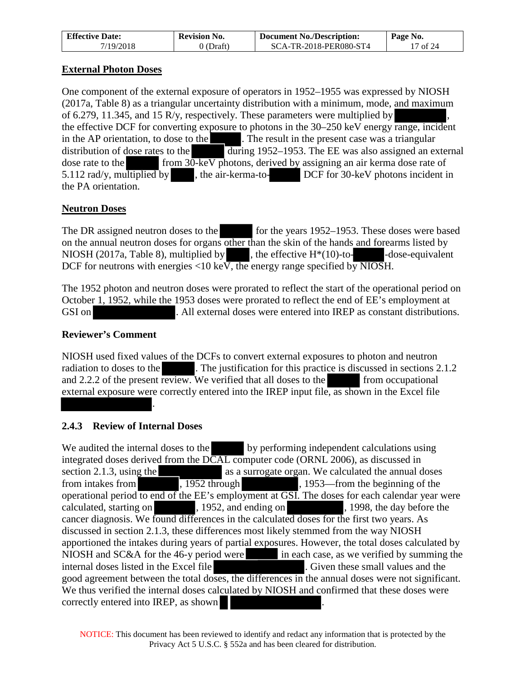| <b>Effective Date:</b> | <b>Revision No.</b> | <b>Document No./Description:</b> | Page No. |
|------------------------|---------------------|----------------------------------|----------|
| 7/19/2018              | 0 (Draft)           | SCA-TR-2018-PER080-ST4           | 17 of 24 |

#### **External Photon Doses**

One component of the external exposure of operators in 1952–1955 was expressed by NIOSH (2017a, Table 8) as a triangular uncertainty distribution with a minimum, mode, and maximum of 6.279, 11.345, and 15 R/y, respectively. These parameters were multiplied by the effective DCF for converting exposure to photons in the 30–250 keV energy range, incident in the AP orientation, to dose to the  $\Box$ . The result in the present case was a triangular distribution of dose rates to the  $\overline{\text{during 1952}-1953}$ . The EE was also assigned an external dose rate to the from 30-keV photons, derived by assigning an air kerma dose rate of 5.112 rad/y, multiplied by , the air-kerma-to- DCF for 30-keV photons incident in the PA orientation.

# **Neutron Doses**

The DR assigned neutron doses to the for the years 1952–1953. These doses were based on the annual neutron doses for organs other than the skin of the hands and forearms listed by NIOSH (2017a, Table 8), multiplied by  $\blacksquare$ , the effective H $*(10)$ -to- $\blacksquare$  -dose-equivalent DCF for neutrons with energies <10 keV, the energy range specified by NIOSH.

The 1952 photon and neutron doses were prorated to reflect the start of the operational period on October 1, 1952, while the 1953 doses were prorated to reflect the end of EE's employment at GSI on . All external doses were entered into IREP as constant distributions.

# **Reviewer's Comment**

NIOSH used fixed values of the DCFs to convert external exposures to photon and neutron radiation to doses to the . The justification for this practice is discussed in sections [2.1.2](#page-7-3) and  $2.2.2$  of the present review. We verified that all doses to the from occupational external exposure were correctly entered into the IREP input file, as shown in the Excel file

# <span id="page-16-0"></span>**2.4.3 Review of Internal Doses**

*.*

We audited the internal doses to the by performing independent calculations using integrated doses derived from the DCAL computer code (ORNL 2006), as discussed in section [2.1.3,](#page-9-0) using the as a surrogate organ. We calculated the annual doses from intakes from  $\frac{1952 \text{ through}}{1952 \text{ through}}$ , 1953—from the beginning of the operational period to end of the EE's employment at GSI. The doses for each calendar year were calculated, starting on , 1952, and ending on , 1998, the day before the cancer diagnosis. We found differences in the calculated doses for the first two years. As discussed in section [2.1.3,](#page-9-0) these differences most likely stemmed from the way NIOSH apportioned the intakes during years of partial exposures. However, the total doses calculated by NIOSH and SC&A for the 46-y period were in each case, as we verified by summing the internal doses listed in the Excel file . Given these small values and the good agreement between the total doses, the differences in the annual doses were not significant. We thus verified the internal doses calculated by NIOSH and confirmed that these doses were correctly entered into IREP, as shown *.*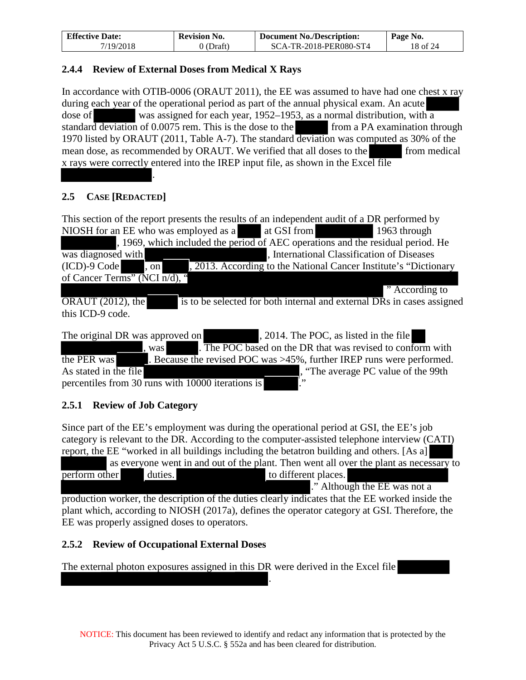| <b>Effective Date:</b> | <b>Revision No.</b> | <b>Document No./Description:</b> | Page No. |
|------------------------|---------------------|----------------------------------|----------|
| 7/19/2018              | $0$ (Draft)         | SCA-TR-2018-PER080-ST4           | 18 of 24 |

#### <span id="page-17-0"></span>**2.4.4 Review of External Doses from Medical X Rays**

In accordance with OTIB-0006 (ORAUT 2011), the EE was assumed to have had one chest x ray during each year of the operational period as part of the annual physical exam. An acute dose of was assigned for each year, 1952–1953, as a normal distribution, with a standard deviation of 0.0075 rem. This is the dose to the from a PA examination through 1970 listed by ORAUT (2011, Table A-7). The standard deviation was computed as 30% of the mean dose, as recommended by ORAUT. We verified that all doses to the from medical x rays were correctly entered into the IREP input file, as shown in the Excel file *.*

# <span id="page-17-1"></span>**2.5 CASE [REDACTED]**

This section of the report presents the results of an independent audit of a DR performed by NIOSH for an EE who was employed as a a a state GSI from 1963 through NIOSH for an EE who was employed as a a at GSI from 1963 through , 1969, which included the period of AEC operations and the residual period. He was diagnosed with states of  $\mu$ , International Classification of Diseases  $(ICD)-9$  Code  $\overline{)$ , on  $\overline{)$ , 2013. According to the National Cancer Institute's "Dictionary of Cancer Terms" (NCI  $\overline{n/d}$ ), " " According to  $\overline{ORAUT}$  (2012), the is to be selected for both internal and external DRs in cases assigned this ICD-9 code.

The original DR was approved on , 2014. The POC, as listed in the file , was . The POC based on the DR that was revised to conform with the PER was  $\blacksquare$ . Because the revised POC was  $>45\%$ , further IREP runs were performed. As stated in the file  $\blacksquare$ , "The average PC value of the 99th percentiles from 30 runs with 10000 iterations is

# <span id="page-17-2"></span>**2.5.1 Review of Job Category**

Since part of the EE's employment was during the operational period at GSI, the EE's job category is relevant to the DR. According to the computer-assisted telephone interview (CATI) report, the EE "worked in all buildings including the betatron building and others. [As a]

 as everyone went in and out of the plant. Then went all over the plant as necessary to perform other duties.  $\blacksquare$  duties. ." Although the EE was not a production worker, the description of the duties clearly indicates that the EE worked inside the plant which, according to NIOSH (2017a), defines the operator category at GSI. Therefore, the EE was properly assigned doses to operators.

# <span id="page-17-3"></span>**2.5.2 Review of Occupational External Doses**

The external photon exposures assigned in this DR were derived in the Excel file

.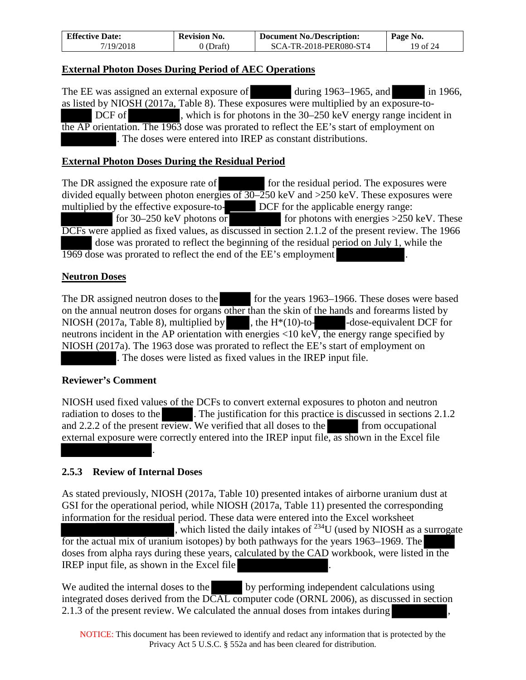| <b>Effective Date:</b> | <b>Revision No.</b> | <b>Document No./Description:</b> | Page No. |
|------------------------|---------------------|----------------------------------|----------|
| 7/19/2018              | $0$ (Draft)         | SCA-TR-2018-PER080-ST4           | 19 of 24 |

#### **External Photon Doses During Period of AEC Operations**

The EE was assigned an external exposure of during 1963–1965, and in 1966, as listed by NIOSH (2017a, Table 8). These exposures were multiplied by an exposure-to- DCF of , which is for photons in the 30–250 keV energy range incident in the AP orientation. The 1963 dose was prorated to reflect the EE's start of employment on . The doses were entered into IREP as constant distributions.

#### **External Photon Doses During the Residual Period**

The DR assigned the exposure rate of for the residual period. The exposures were divided equally between photon energies of 30–250 keV and >250 keV. These exposures were multiplied by the effective exposure-to- DCF for the applicable energy range: for 30–250 keV photons or for photons with energies  $>$ 250 keV. These DCFs were applied as fixed values, as discussed in section [2.1.2](#page-7-3) of the present review. The 1966 dose was prorated to reflect the beginning of the residual period on July 1, while the 1969 dose was prorated to reflect the end of the EE's employment .

#### **Neutron Doses**

The DR assigned neutron doses to the for the years 1963–1966. These doses were based on the annual neutron doses for organs other than the skin of the hands and forearms listed by NIOSH (2017a, Table 8), multiplied by , the  $H<sup>*</sup>(10)$ -to- -dose-equivalent DCF for neutrons incident in the AP orientation with energies <10 keV, the energy range specified by NIOSH (2017a). The 1963 dose was prorated to reflect the EE's start of employment on . The doses were listed as fixed values in the IREP input file.

#### **Reviewer's Comment**

NIOSH used fixed values of the DCFs to convert external exposures to photon and neutron radiation to doses to the . The justification for this practice is discussed in sections [2.1.2](#page-7-3) and  $2.2.2$  of the present review. We verified that all doses to the from occupational external exposure were correctly entered into the IREP input file, as shown in the Excel file *.*

#### <span id="page-18-0"></span>**2.5.3 Review of Internal Doses**

As stated previously, NIOSH (2017a, Table 10) presented intakes of airborne uranium dust at GSI for the operational period, while NIOSH (2017a, Table 11) presented the corresponding information for the residual period. These data were entered into the Excel worksheet , which listed the daily intakes of  $^{234}$ U (used by NIOSH as a surrogate for the actual mix of uranium isotopes) by both pathways for the years 1963–1969. The doses from alpha rays during these years, calculated by the CAD workbook, were listed in the IREP input file, as shown in the Excel file *.*

We audited the internal doses to the by performing independent calculations using integrated doses derived from the DCAL computer code (ORNL 2006), as discussed in section [2.1.3](#page-9-0) of the present review. We calculated the annual doses from intakes during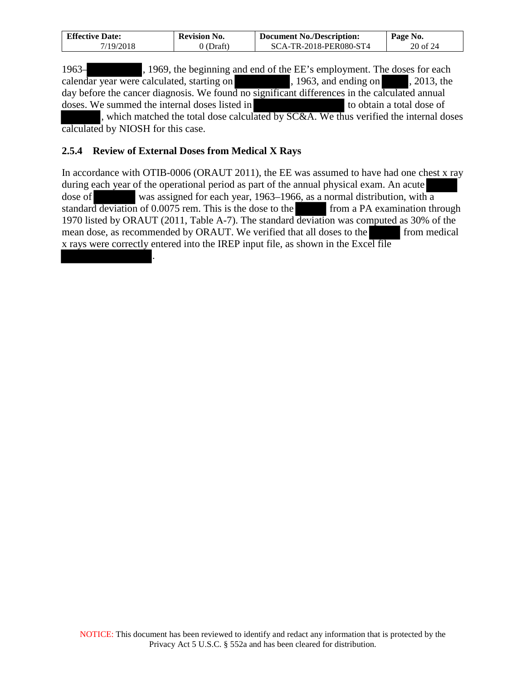| <b>Effective Date:</b> | <b>Revision No.</b> | <b>Document No./Description:</b> | Page No. |
|------------------------|---------------------|----------------------------------|----------|
| 7/19/2018              | 0 (Draft)           | SCA-TR-2018-PER080-ST4           | 20 of 24 |

1963– , 1969, the beginning and end of the EE's employment. The doses for each calendar year were calculated, starting on , 1963, and ending on , 2013, the day before the cancer diagnosis. We found no significant differences in the calculated annual doses. We summed the internal doses listed in to obtain a total dose of , which matched the total dose calculated by SC&A. We thus verified the internal doses calculated by NIOSH for this case.

#### <span id="page-19-0"></span>**2.5.4 Review of External Doses from Medical X Rays**

*.*

In accordance with OTIB-0006 (ORAUT 2011), the EE was assumed to have had one chest x ray during each year of the operational period as part of the annual physical exam. An acute dose of was assigned for each year, 1963–1966, as a normal distribution, with a standard deviation of 0.0075 rem. This is the dose to the from a PA examination through standard deviation of  $0.0075$  rem. This is the dose to the 1970 listed by ORAUT (2011, Table A-7). The standard deviation was computed as 30% of the mean dose, as recommended by ORAUT. We verified that all doses to the from medical x rays were correctly entered into the IREP input file, as shown in the Excel file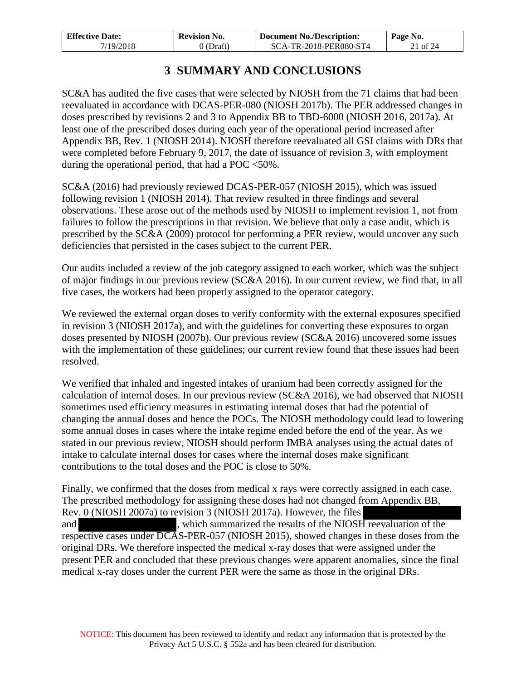| <b>Effective Date:</b> | <b>Revision No.</b> | <b>Document No./Description:</b> | Page No. |
|------------------------|---------------------|----------------------------------|----------|
| 7/19/2018              | 0 (Draft)           | SCA-TR-2018-PER080-ST4           | 21 of 24 |

# **3 SUMMARY AND CONCLUSIONS**

<span id="page-20-0"></span>SC&A has audited the five cases that were selected by NIOSH from the 71 claims that had been reevaluated in accordance with DCAS-PER-080 (NIOSH 2017b). The PER addressed changes in doses prescribed by revisions 2 and 3 to Appendix BB to TBD-6000 (NIOSH 2016, 2017a). At least one of the prescribed doses during each year of the operational period increased after Appendix BB, Rev. 1 (NIOSH 2014). NIOSH therefore reevaluated all GSI claims with DRs that were completed before February 9, 2017, the date of issuance of revision 3, with employment during the operational period, that had a POC  $<50\%$ .

SC&A (2016) had previously reviewed DCAS-PER-057 (NIOSH 2015), which was issued following revision 1 (NIOSH 2014). That review resulted in three findings and several observations. These arose out of the methods used by NIOSH to implement revision 1, not from failures to follow the prescriptions in that revision. We believe that only a case audit, which is prescribed by the SC&A (2009) protocol for performing a PER review, would uncover any such deficiencies that persisted in the cases subject to the current PER.

Our audits included a review of the job category assigned to each worker, which was the subject of major findings in our previous review (SC&A 2016). In our current review, we find that, in all five cases, the workers had been properly assigned to the operator category.

We reviewed the external organ doses to verify conformity with the external exposures specified in revision 3 (NIOSH 2017a), and with the guidelines for converting these exposures to organ doses presented by NIOSH (2007b). Our previous review (SC&A 2016) uncovered some issues with the implementation of these guidelines; our current review found that these issues had been resolved.

We verified that inhaled and ingested intakes of uranium had been correctly assigned for the calculation of internal doses. In our previous review (SC&A 2016), we had observed that NIOSH sometimes used efficiency measures in estimating internal doses that had the potential of changing the annual doses and hence the POCs. The NIOSH methodology could lead to lowering some annual doses in cases where the intake regime ended before the end of the year. As we stated in our previous review, NIOSH should perform IMBA analyses using the actual dates of intake to calculate internal doses for cases where the internal doses make significant contributions to the total doses and the POC is close to 50%.

Finally, we confirmed that the doses from medical x rays were correctly assigned in each case. The prescribed methodology for assigning these doses had not changed from Appendix BB, Rev. 0 (NIOSH 2007a) to revision 3 (NIOSH 2017a). However, the files and , which summarized the results of the NIOSH reevaluation of the respective cases under DCAS-PER-057 (NIOSH 2015), showed changes in these doses from the original DRs. We therefore inspected the medical x-ray doses that were assigned under the present PER and concluded that these previous changes were apparent anomalies, since the final medical x-ray doses under the current PER were the same as those in the original DRs.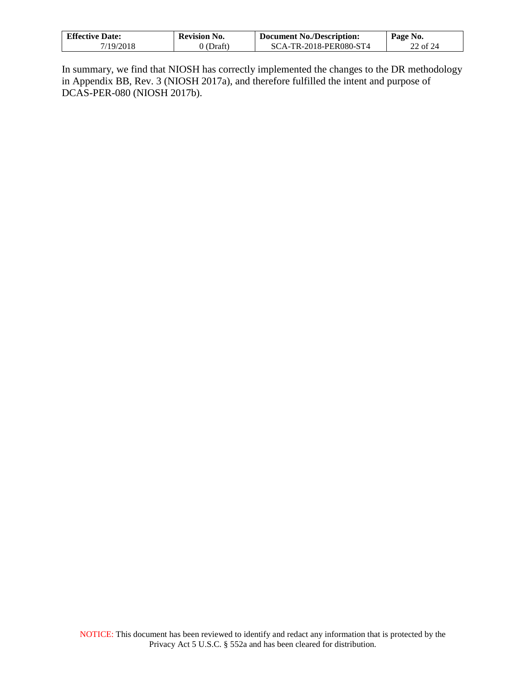| <b>Effective Date:</b> | <b>Revision No.</b> | <b>Document No./Description:</b> | Page No. |
|------------------------|---------------------|----------------------------------|----------|
| 7/19/2018              | $\partial$ (Draft)  | SCA-TR-2018-PER080-ST4           | 22 of 24 |

In summary, we find that NIOSH has correctly implemented the changes to the DR methodology in Appendix BB, Rev. 3 (NIOSH 2017a), and therefore fulfilled the intent and purpose of DCAS-PER-080 (NIOSH 2017b).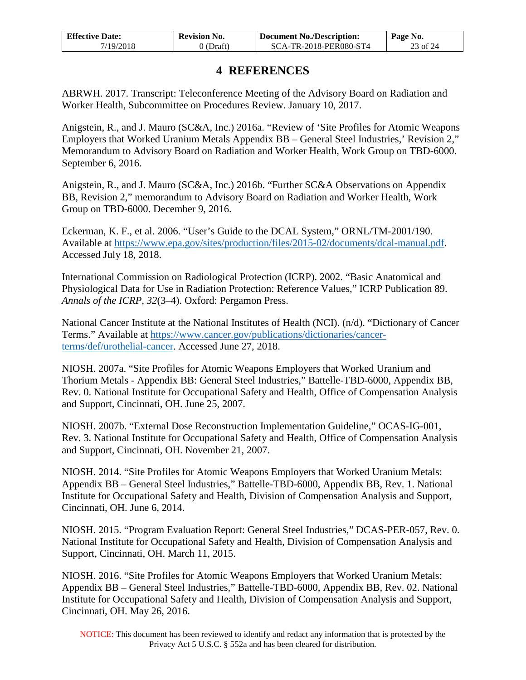| <b>Effective Date:</b> | <b>Revision No.</b> | <b>Document No./Description:</b> | Page No. |
|------------------------|---------------------|----------------------------------|----------|
| 7/19/2018              | $0$ (Draft)         | SCA-TR-2018-PER080-ST4           | 23 of 24 |

# **4 REFERENCES**

<span id="page-22-0"></span>ABRWH. 2017. Transcript: Teleconference Meeting of the Advisory Board on Radiation and Worker Health, Subcommittee on Procedures Review. January 10, 2017.

Anigstein, R., and J. Mauro (SC&A, Inc.) 2016a. "Review of 'Site Profiles for Atomic Weapons Employers that Worked Uranium Metals Appendix BB – General Steel Industries,' Revision 2," Memorandum to Advisory Board on Radiation and Worker Health, Work Group on TBD-6000. September 6, 2016.

Anigstein, R., and J. Mauro (SC&A, Inc.) 2016b. "Further SC&A Observations on Appendix BB, Revision 2," memorandum to Advisory Board on Radiation and Worker Health, Work Group on TBD-6000. December 9, 2016.

Eckerman, K. F., et al. 2006. "User's Guide to the DCAL System," ORNL/TM-2001/190. Available at [https://www.epa.gov/sites/production/files/2015-02/documents/dcal-manual.pdf.](https://www.epa.gov/sites/production/files/2015-02/documents/dcal-manual.pdf) Accessed July 18, 2018.

International Commission on Radiological Protection (ICRP). 2002. "Basic Anatomical and Physiological Data for Use in Radiation Protection: Reference Values," ICRP Publication 89. *Annals of the ICRP, 32*(3–4). Oxford: Pergamon Press.

National Cancer Institute at the National Institutes of Health (NCI). (n/d). "Dictionary of Cancer Terms." Available at [https://www.cancer.gov/publications/dictionaries/cancer](https://www.cancer.gov/publications/dictionaries/cancer-terms/def/urothelial-cancer)[terms/def/urothelial-cancer.](https://www.cancer.gov/publications/dictionaries/cancer-terms/def/urothelial-cancer) Accessed June 27, 2018.

NIOSH. 2007a. "Site Profiles for Atomic Weapons Employers that Worked Uranium and Thorium Metals - Appendix BB: General Steel Industries," Battelle-TBD-6000, Appendix BB, Rev. 0. National Institute for Occupational Safety and Health, Office of Compensation Analysis and Support, Cincinnati, OH. June 25, 2007.

NIOSH. 2007b. "External Dose Reconstruction Implementation Guideline," OCAS-IG-001, Rev. 3. National Institute for Occupational Safety and Health, Office of Compensation Analysis and Support, Cincinnati, OH. November 21, 2007.

NIOSH. 2014. "Site Profiles for Atomic Weapons Employers that Worked Uranium Metals: Appendix BB – General Steel Industries," Battelle-TBD-6000, Appendix BB, Rev. 1. National Institute for Occupational Safety and Health, Division of Compensation Analysis and Support, Cincinnati, OH. June 6, 2014.

NIOSH. 2015. "Program Evaluation Report: General Steel Industries," DCAS-PER-057, Rev. 0. National Institute for Occupational Safety and Health, Division of Compensation Analysis and Support, Cincinnati, OH. March 11, 2015.

NIOSH. 2016. "Site Profiles for Atomic Weapons Employers that Worked Uranium Metals: Appendix BB – General Steel Industries," Battelle-TBD-6000, Appendix BB, Rev. 02. National Institute for Occupational Safety and Health, Division of Compensation Analysis and Support, Cincinnati, OH. May 26, 2016.